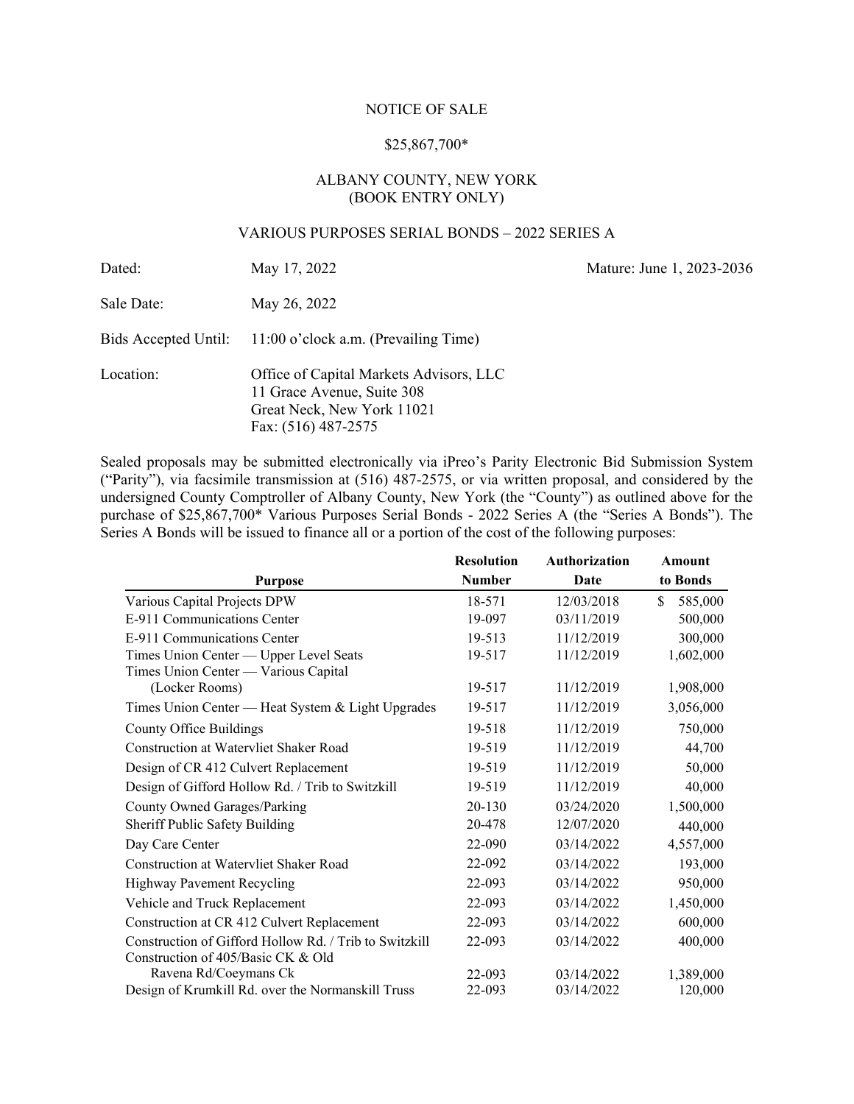## NOTICE OF SALE

## \$25,867,700\*

# ALBANY COUNTY, NEW YORK (BOOK ENTRY ONLY)

# VARIOUS PURPOSES SERIAL BONDS – 2022 SERIES A

| Dated:     | May 17, 2022                                                                                                               | Mature: June 1, 2023-2036 |
|------------|----------------------------------------------------------------------------------------------------------------------------|---------------------------|
| Sale Date: | May 26, 2022                                                                                                               |                           |
|            | Bids Accepted Until: 11:00 o'clock a.m. (Prevailing Time)                                                                  |                           |
| Location:  | Office of Capital Markets Advisors, LLC<br>11 Grace Avenue, Suite 308<br>Great Neck, New York 11021<br>Fax: (516) 487-2575 |                           |

Sealed proposals may be submitted electronically via iPreo's Parity Electronic Bid Submission System ("Parity"), via facsimile transmission at (516) 487-2575, or via written proposal, and considered by the undersigned County Comptroller of Albany County, New York (the "County") as outlined above for the purchase of \$25,867,700\* Various Purposes Serial Bonds - 2022 Series A (the "Series A Bonds"). The Series A Bonds will be issued to finance all or a portion of the cost of the following purposes:

|                                                                                              | <b>Resolution</b> | <b>Authorization</b> | Amount         |
|----------------------------------------------------------------------------------------------|-------------------|----------------------|----------------|
| <b>Purpose</b>                                                                               | <b>Number</b>     | Date                 | to Bonds       |
| Various Capital Projects DPW                                                                 | 18-571            | 12/03/2018           | \$.<br>585,000 |
| E-911 Communications Center                                                                  | 19-097            | 03/11/2019           | 500,000        |
| E-911 Communications Center                                                                  | 19-513            | 11/12/2019           | 300,000        |
| Times Union Center - Upper Level Seats<br>Times Union Center — Various Capital               | 19-517            | 11/12/2019           | 1,602,000      |
| (Locker Rooms)                                                                               | 19-517            | 11/12/2019           | 1,908,000      |
| Times Union Center — Heat System & Light Upgrades                                            | 19-517            | 11/12/2019           | 3,056,000      |
| <b>County Office Buildings</b>                                                               | 19-518            | 11/12/2019           | 750,000        |
| <b>Construction at Watervliet Shaker Road</b>                                                | 19-519            | 11/12/2019           | 44,700         |
| Design of CR 412 Culvert Replacement                                                         | 19-519            | 11/12/2019           | 50,000         |
| Design of Gifford Hollow Rd. / Trib to Switzkill                                             | 19-519            | 11/12/2019           | 40,000         |
| <b>County Owned Garages/Parking</b>                                                          | 20-130            | 03/24/2020           | 1,500,000      |
| Sheriff Public Safety Building                                                               | 20-478            | 12/07/2020           | 440,000        |
| Day Care Center                                                                              | 22-090            | 03/14/2022           | 4,557,000      |
| <b>Construction at Watervliet Shaker Road</b>                                                | 22-092            | 03/14/2022           | 193,000        |
| Highway Pavement Recycling                                                                   | 22-093            | 03/14/2022           | 950,000        |
| Vehicle and Truck Replacement                                                                | 22-093            | 03/14/2022           | 1,450,000      |
| Construction at CR 412 Culvert Replacement                                                   | 22-093            | 03/14/2022           | 600,000        |
| Construction of Gifford Hollow Rd. / Trib to Switzkill<br>Construction of 405/Basic CK & Old | 22-093            | 03/14/2022           | 400,000        |
| Ravena Rd/Coeymans Ck                                                                        | 22-093            | 03/14/2022           | 1,389,000      |
| Design of Krumkill Rd. over the Normanskill Truss                                            | 22-093            | 03/14/2022           | 120,000        |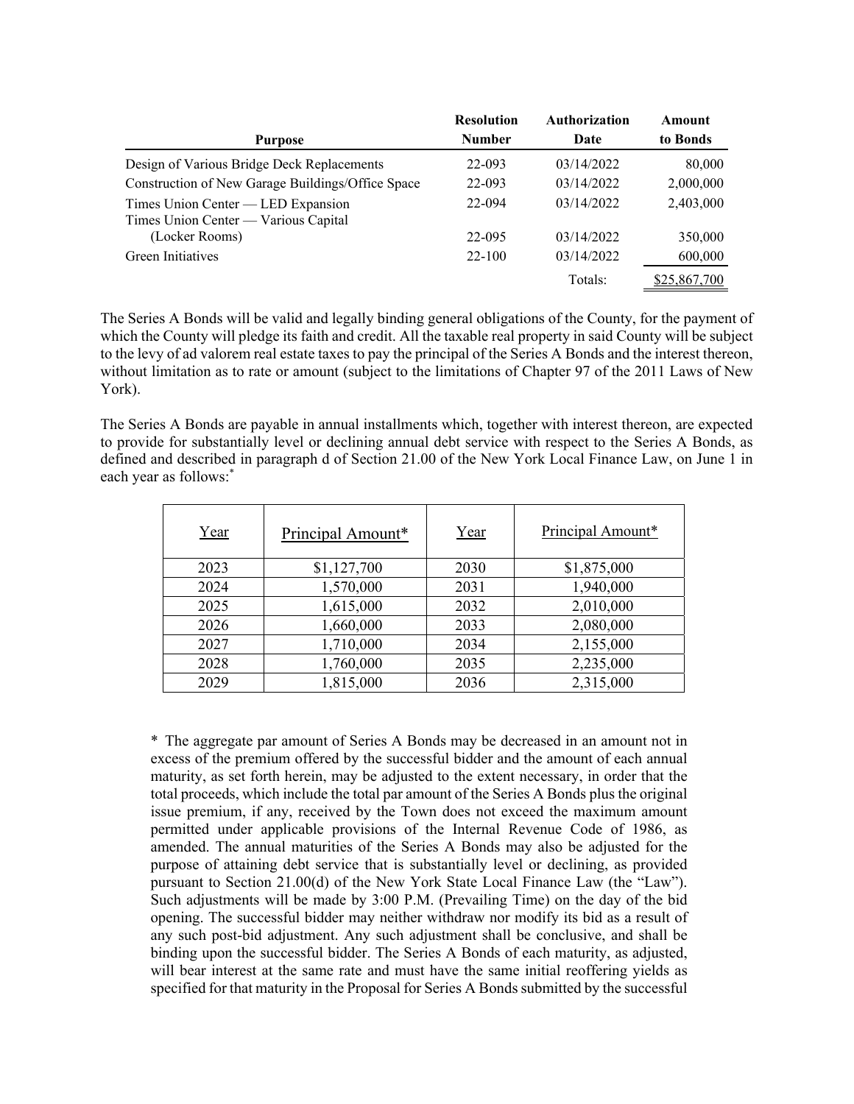|                                                                            | <b>Resolution</b> | Authorization | Amount       |
|----------------------------------------------------------------------------|-------------------|---------------|--------------|
| <b>Purpose</b>                                                             | <b>Number</b>     | Date          | to Bonds     |
| Design of Various Bridge Deck Replacements                                 | 22-093            | 03/14/2022    | 80,000       |
| Construction of New Garage Buildings/Office Space                          | 22-093            | 03/14/2022    | 2,000,000    |
| Times Union Center — LED Expansion<br>Times Union Center — Various Capital | 22-094            | 03/14/2022    | 2,403,000    |
| (Locker Rooms)                                                             | 22-095            | 03/14/2022    | 350,000      |
| Green Initiatives                                                          | $22 - 100$        | 03/14/2022    | 600,000      |
|                                                                            |                   | Totals:       | \$25,867,700 |

The Series A Bonds will be valid and legally binding general obligations of the County, for the payment of which the County will pledge its faith and credit. All the taxable real property in said County will be subject to the levy of ad valorem real estate taxes to pay the principal of the Series A Bonds and the interest thereon, without limitation as to rate or amount (subject to the limitations of Chapter 97 of the 2011 Laws of New York).

The Series A Bonds are payable in annual installments which, together with interest thereon, are expected to provide for substantially level or declining annual debt service with respect to the Series A Bonds, as defined and described in paragraph d of Section 21.00 of the New York Local Finance Law, on June 1 in each year as follows:<sup>\*</sup>

| Year | Principal Amount* | Year | Principal Amount* |
|------|-------------------|------|-------------------|
| 2023 | \$1,127,700       | 2030 | \$1,875,000       |
| 2024 | 1,570,000         | 2031 | 1,940,000         |
| 2025 | 1,615,000         | 2032 | 2,010,000         |
| 2026 | 1,660,000         | 2033 | 2,080,000         |
| 2027 | 1,710,000         | 2034 | 2,155,000         |
| 2028 | 1,760,000         | 2035 | 2,235,000         |
| 2029 | 1,815,000         | 2036 | 2,315,000         |

\* The aggregate par amount of Series A Bonds may be decreased in an amount not in excess of the premium offered by the successful bidder and the amount of each annual maturity, as set forth herein, may be adjusted to the extent necessary, in order that the total proceeds, which include the total par amount of the Series A Bonds plus the original issue premium, if any, received by the Town does not exceed the maximum amount permitted under applicable provisions of the Internal Revenue Code of 1986, as amended. The annual maturities of the Series A Bonds may also be adjusted for the purpose of attaining debt service that is substantially level or declining, as provided pursuant to Section 21.00(d) of the New York State Local Finance Law (the "Law"). Such adjustments will be made by 3:00 P.M. (Prevailing Time) on the day of the bid opening. The successful bidder may neither withdraw nor modify its bid as a result of any such post-bid adjustment. Any such adjustment shall be conclusive, and shall be binding upon the successful bidder. The Series A Bonds of each maturity, as adjusted, will bear interest at the same rate and must have the same initial reoffering yields as specified for that maturity in the Proposal for Series A Bonds submitted by the successful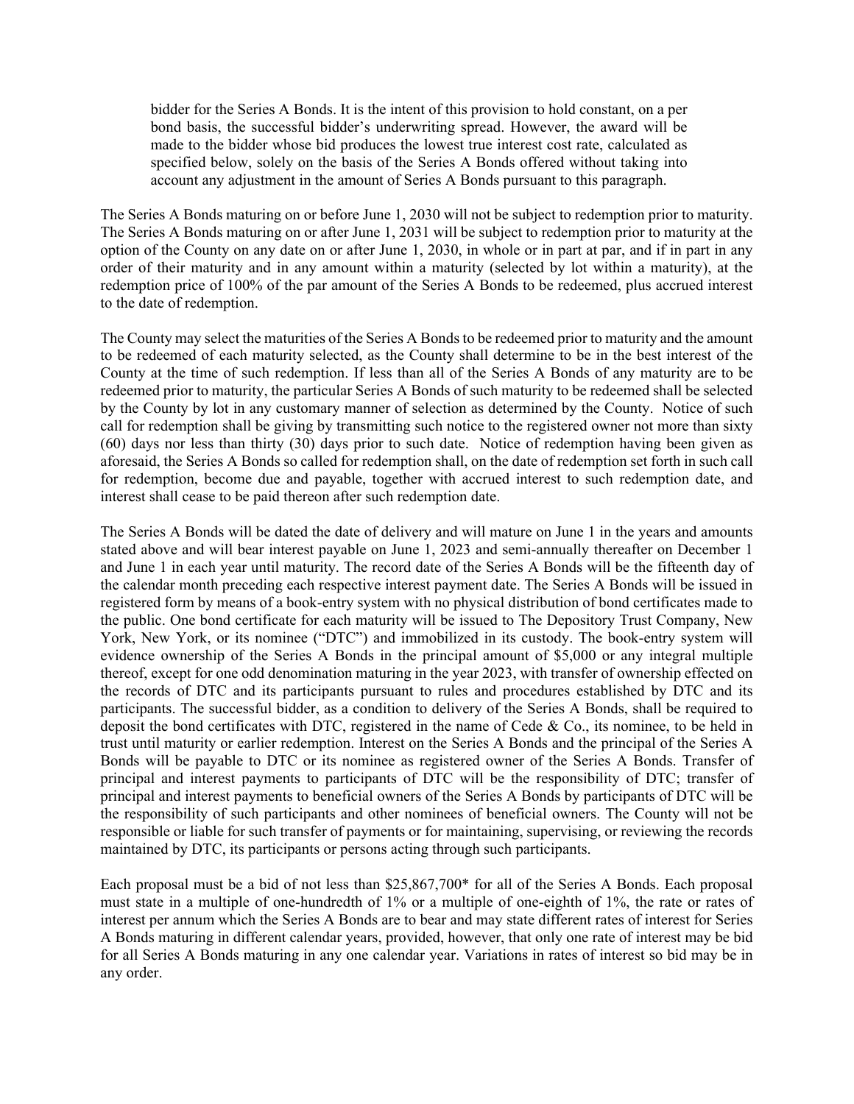bidder for the Series A Bonds. It is the intent of this provision to hold constant, on a per bond basis, the successful bidder's underwriting spread. However, the award will be made to the bidder whose bid produces the lowest true interest cost rate, calculated as specified below, solely on the basis of the Series A Bonds offered without taking into account any adjustment in the amount of Series A Bonds pursuant to this paragraph.

The Series A Bonds maturing on or before June 1, 2030 will not be subject to redemption prior to maturity. The Series A Bonds maturing on or after June 1, 2031 will be subject to redemption prior to maturity at the option of the County on any date on or after June 1, 2030, in whole or in part at par, and if in part in any order of their maturity and in any amount within a maturity (selected by lot within a maturity), at the redemption price of 100% of the par amount of the Series A Bonds to be redeemed, plus accrued interest to the date of redemption.

The County may select the maturities of the Series A Bonds to be redeemed prior to maturity and the amount to be redeemed of each maturity selected, as the County shall determine to be in the best interest of the County at the time of such redemption. If less than all of the Series A Bonds of any maturity are to be redeemed prior to maturity, the particular Series A Bonds of such maturity to be redeemed shall be selected by the County by lot in any customary manner of selection as determined by the County. Notice of such call for redemption shall be giving by transmitting such notice to the registered owner not more than sixty (60) days nor less than thirty (30) days prior to such date. Notice of redemption having been given as aforesaid, the Series A Bonds so called for redemption shall, on the date of redemption set forth in such call for redemption, become due and payable, together with accrued interest to such redemption date, and interest shall cease to be paid thereon after such redemption date.

The Series A Bonds will be dated the date of delivery and will mature on June 1 in the years and amounts stated above and will bear interest payable on June 1, 2023 and semi-annually thereafter on December 1 and June 1 in each year until maturity. The record date of the Series A Bonds will be the fifteenth day of the calendar month preceding each respective interest payment date. The Series A Bonds will be issued in registered form by means of a book-entry system with no physical distribution of bond certificates made to the public. One bond certificate for each maturity will be issued to The Depository Trust Company, New York, New York, or its nominee ("DTC") and immobilized in its custody. The book-entry system will evidence ownership of the Series A Bonds in the principal amount of \$5,000 or any integral multiple thereof, except for one odd denomination maturing in the year 2023, with transfer of ownership effected on the records of DTC and its participants pursuant to rules and procedures established by DTC and its participants. The successful bidder, as a condition to delivery of the Series A Bonds, shall be required to deposit the bond certificates with DTC, registered in the name of Cede & Co., its nominee, to be held in trust until maturity or earlier redemption. Interest on the Series A Bonds and the principal of the Series A Bonds will be payable to DTC or its nominee as registered owner of the Series A Bonds. Transfer of principal and interest payments to participants of DTC will be the responsibility of DTC; transfer of principal and interest payments to beneficial owners of the Series A Bonds by participants of DTC will be the responsibility of such participants and other nominees of beneficial owners. The County will not be responsible or liable for such transfer of payments or for maintaining, supervising, or reviewing the records maintained by DTC, its participants or persons acting through such participants.

Each proposal must be a bid of not less than \$25,867,700\* for all of the Series A Bonds. Each proposal must state in a multiple of one-hundredth of 1% or a multiple of one-eighth of 1%, the rate or rates of interest per annum which the Series A Bonds are to bear and may state different rates of interest for Series A Bonds maturing in different calendar years, provided, however, that only one rate of interest may be bid for all Series A Bonds maturing in any one calendar year. Variations in rates of interest so bid may be in any order.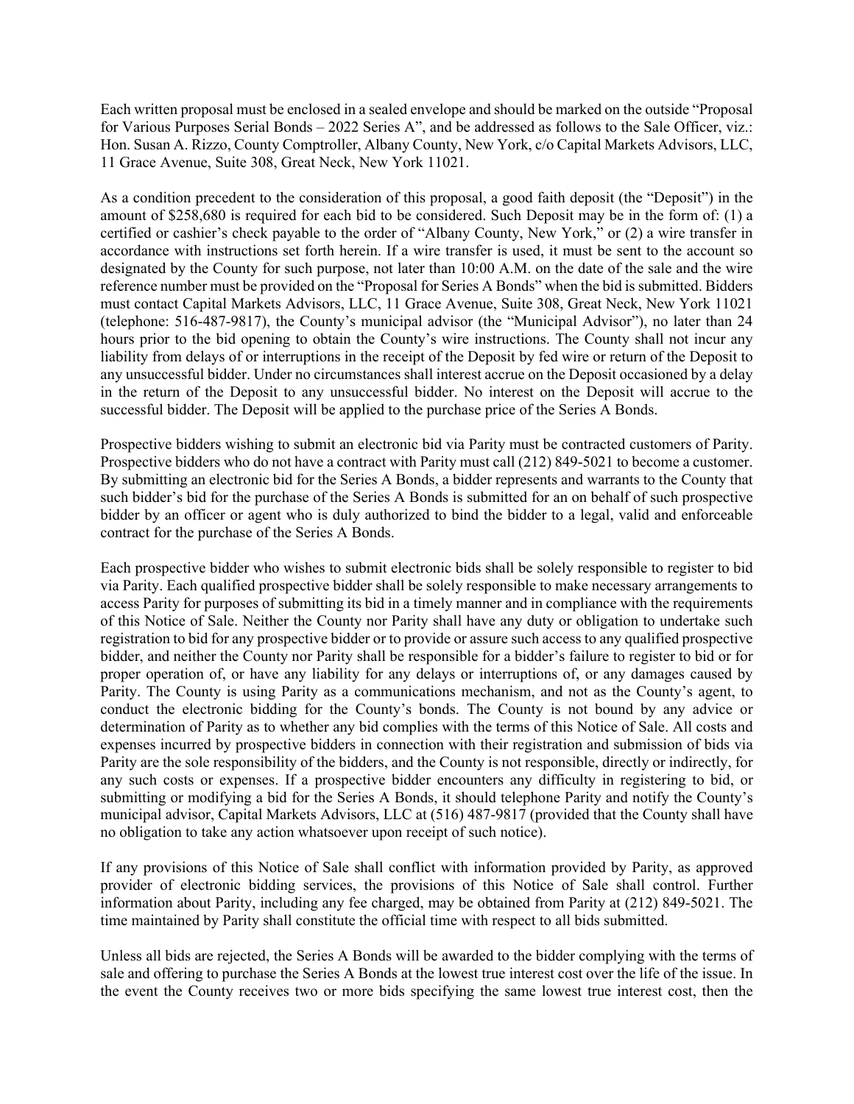Each written proposal must be enclosed in a sealed envelope and should be marked on the outside "Proposal for Various Purposes Serial Bonds – 2022 Series A", and be addressed as follows to the Sale Officer, viz.: Hon. Susan A. Rizzo, County Comptroller, Albany County, New York, c/o Capital Markets Advisors, LLC, 11 Grace Avenue, Suite 308, Great Neck, New York 11021.

As a condition precedent to the consideration of this proposal, a good faith deposit (the "Deposit") in the amount of \$258,680 is required for each bid to be considered. Such Deposit may be in the form of: (1) a certified or cashier's check payable to the order of "Albany County, New York," or (2) a wire transfer in accordance with instructions set forth herein. If a wire transfer is used, it must be sent to the account so designated by the County for such purpose, not later than 10:00 A.M. on the date of the sale and the wire reference number must be provided on the "Proposal for Series A Bonds" when the bid is submitted. Bidders must contact Capital Markets Advisors, LLC, 11 Grace Avenue, Suite 308, Great Neck, New York 11021 (telephone: 516-487-9817), the County's municipal advisor (the "Municipal Advisor"), no later than 24 hours prior to the bid opening to obtain the County's wire instructions. The County shall not incur any liability from delays of or interruptions in the receipt of the Deposit by fed wire or return of the Deposit to any unsuccessful bidder. Under no circumstances shall interest accrue on the Deposit occasioned by a delay in the return of the Deposit to any unsuccessful bidder. No interest on the Deposit will accrue to the successful bidder. The Deposit will be applied to the purchase price of the Series A Bonds.

Prospective bidders wishing to submit an electronic bid via Parity must be contracted customers of Parity. Prospective bidders who do not have a contract with Parity must call (212) 849-5021 to become a customer. By submitting an electronic bid for the Series A Bonds, a bidder represents and warrants to the County that such bidder's bid for the purchase of the Series A Bonds is submitted for an on behalf of such prospective bidder by an officer or agent who is duly authorized to bind the bidder to a legal, valid and enforceable contract for the purchase of the Series A Bonds.

Each prospective bidder who wishes to submit electronic bids shall be solely responsible to register to bid via Parity. Each qualified prospective bidder shall be solely responsible to make necessary arrangements to access Parity for purposes of submitting its bid in a timely manner and in compliance with the requirements of this Notice of Sale. Neither the County nor Parity shall have any duty or obligation to undertake such registration to bid for any prospective bidder or to provide or assure such access to any qualified prospective bidder, and neither the County nor Parity shall be responsible for a bidder's failure to register to bid or for proper operation of, or have any liability for any delays or interruptions of, or any damages caused by Parity. The County is using Parity as a communications mechanism, and not as the County's agent, to conduct the electronic bidding for the County's bonds. The County is not bound by any advice or determination of Parity as to whether any bid complies with the terms of this Notice of Sale. All costs and expenses incurred by prospective bidders in connection with their registration and submission of bids via Parity are the sole responsibility of the bidders, and the County is not responsible, directly or indirectly, for any such costs or expenses. If a prospective bidder encounters any difficulty in registering to bid, or submitting or modifying a bid for the Series A Bonds, it should telephone Parity and notify the County's municipal advisor, Capital Markets Advisors, LLC at (516) 487-9817 (provided that the County shall have no obligation to take any action whatsoever upon receipt of such notice).

If any provisions of this Notice of Sale shall conflict with information provided by Parity, as approved provider of electronic bidding services, the provisions of this Notice of Sale shall control. Further information about Parity, including any fee charged, may be obtained from Parity at (212) 849-5021. The time maintained by Parity shall constitute the official time with respect to all bids submitted.

Unless all bids are rejected, the Series A Bonds will be awarded to the bidder complying with the terms of sale and offering to purchase the Series A Bonds at the lowest true interest cost over the life of the issue. In the event the County receives two or more bids specifying the same lowest true interest cost, then the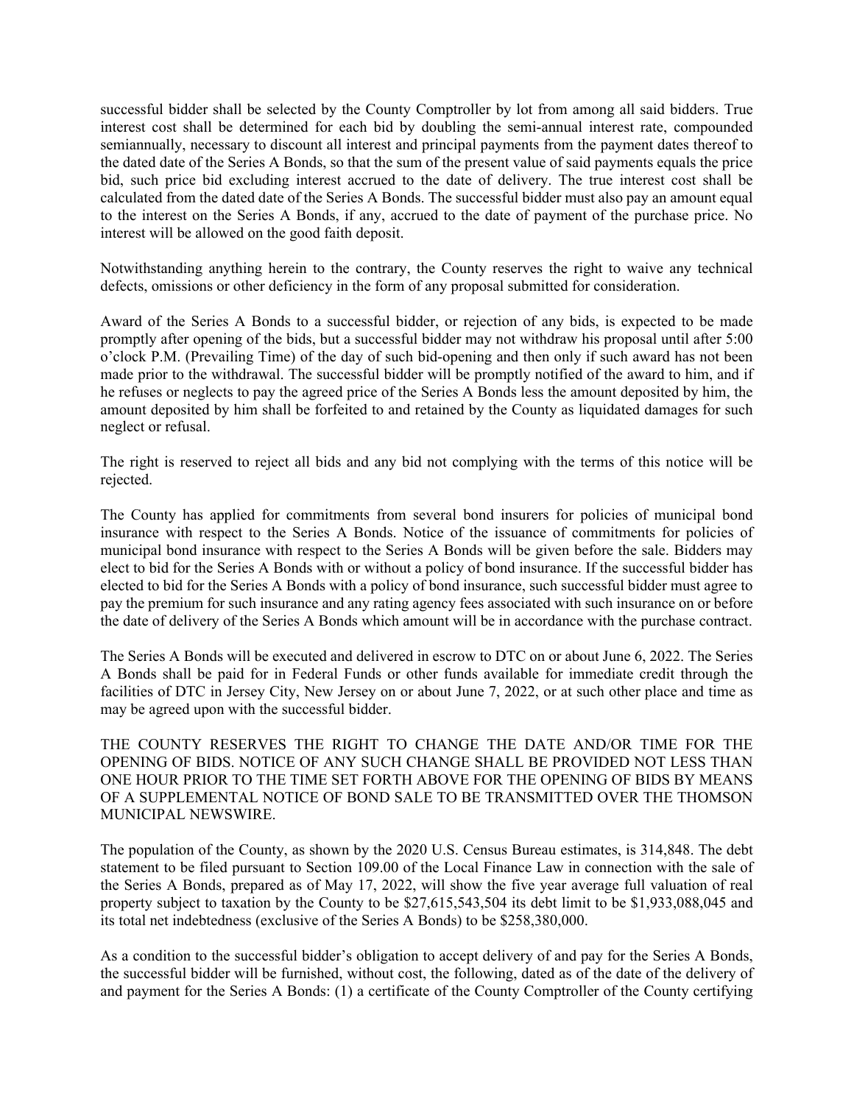successful bidder shall be selected by the County Comptroller by lot from among all said bidders. True interest cost shall be determined for each bid by doubling the semi-annual interest rate, compounded semiannually, necessary to discount all interest and principal payments from the payment dates thereof to the dated date of the Series A Bonds, so that the sum of the present value of said payments equals the price bid, such price bid excluding interest accrued to the date of delivery. The true interest cost shall be calculated from the dated date of the Series A Bonds. The successful bidder must also pay an amount equal to the interest on the Series A Bonds, if any, accrued to the date of payment of the purchase price. No interest will be allowed on the good faith deposit.

Notwithstanding anything herein to the contrary, the County reserves the right to waive any technical defects, omissions or other deficiency in the form of any proposal submitted for consideration.

Award of the Series A Bonds to a successful bidder, or rejection of any bids, is expected to be made promptly after opening of the bids, but a successful bidder may not withdraw his proposal until after 5:00 o'clock P.M. (Prevailing Time) of the day of such bid-opening and then only if such award has not been made prior to the withdrawal. The successful bidder will be promptly notified of the award to him, and if he refuses or neglects to pay the agreed price of the Series A Bonds less the amount deposited by him, the amount deposited by him shall be forfeited to and retained by the County as liquidated damages for such neglect or refusal.

The right is reserved to reject all bids and any bid not complying with the terms of this notice will be rejected.

The County has applied for commitments from several bond insurers for policies of municipal bond insurance with respect to the Series A Bonds. Notice of the issuance of commitments for policies of municipal bond insurance with respect to the Series A Bonds will be given before the sale. Bidders may elect to bid for the Series A Bonds with or without a policy of bond insurance. If the successful bidder has elected to bid for the Series A Bonds with a policy of bond insurance, such successful bidder must agree to pay the premium for such insurance and any rating agency fees associated with such insurance on or before the date of delivery of the Series A Bonds which amount will be in accordance with the purchase contract.

The Series A Bonds will be executed and delivered in escrow to DTC on or about June 6, 2022. The Series A Bonds shall be paid for in Federal Funds or other funds available for immediate credit through the facilities of DTC in Jersey City, New Jersey on or about June 7, 2022, or at such other place and time as may be agreed upon with the successful bidder.

THE COUNTY RESERVES THE RIGHT TO CHANGE THE DATE AND/OR TIME FOR THE OPENING OF BIDS. NOTICE OF ANY SUCH CHANGE SHALL BE PROVIDED NOT LESS THAN ONE HOUR PRIOR TO THE TIME SET FORTH ABOVE FOR THE OPENING OF BIDS BY MEANS OF A SUPPLEMENTAL NOTICE OF BOND SALE TO BE TRANSMITTED OVER THE THOMSON MUNICIPAL NEWSWIRE.

The population of the County, as shown by the 2020 U.S. Census Bureau estimates, is 314,848. The debt statement to be filed pursuant to Section 109.00 of the Local Finance Law in connection with the sale of the Series A Bonds, prepared as of May 17, 2022, will show the five year average full valuation of real property subject to taxation by the County to be \$27,615,543,504 its debt limit to be \$1,933,088,045 and its total net indebtedness (exclusive of the Series A Bonds) to be \$258,380,000.

As a condition to the successful bidder's obligation to accept delivery of and pay for the Series A Bonds, the successful bidder will be furnished, without cost, the following, dated as of the date of the delivery of and payment for the Series A Bonds: (1) a certificate of the County Comptroller of the County certifying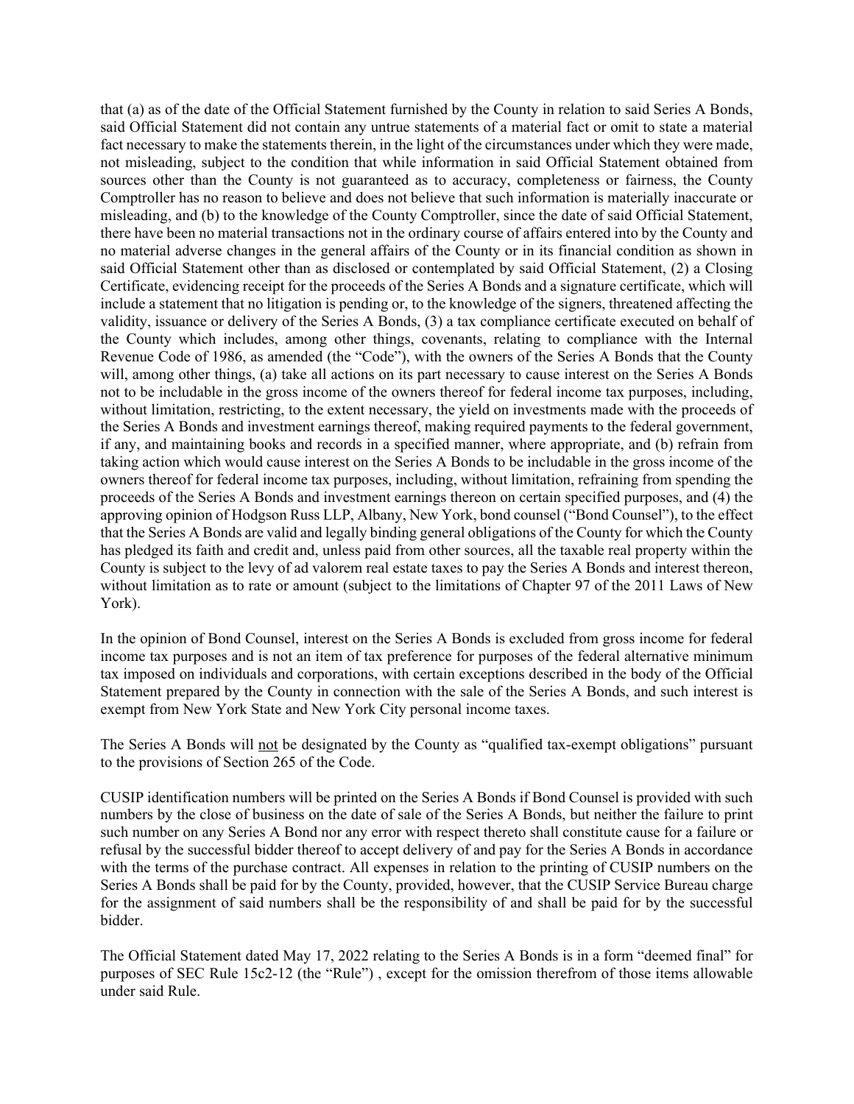that (a) as of the date of the Official Statement furnished by the County in relation to said Series A Bonds, said Official Statement did not contain any untrue statements of a material fact or omit to state a material fact necessary to make the statements therein, in the light of the circumstances under which they were made, not misleading, subject to the condition that while information in said Official Statement obtained from sources other than the County is not guaranteed as to accuracy, completeness or fairness, the County Comptroller has no reason to believe and does not believe that such information is materially inaccurate or misleading, and (b) to the knowledge of the County Comptroller, since the date of said Official Statement, there have been no material transactions not in the ordinary course of affairs entered into by the County and no material adverse changes in the general affairs of the County or in its financial condition as shown in said Official Statement other than as disclosed or contemplated by said Official Statement, (2) a Closing Certificate, evidencing receipt for the proceeds of the Series A Bonds and a signature certificate, which will include a statement that no litigation is pending or, to the knowledge of the signers, threatened affecting the validity, issuance or delivery of the Series A Bonds, (3) a tax compliance certificate executed on behalf of the County which includes, among other things, covenants, relating to compliance with the Internal Revenue Code of 1986, as amended (the "Code"), with the owners of the Series A Bonds that the County will, among other things, (a) take all actions on its part necessary to cause interest on the Series A Bonds not to be includable in the gross income of the owners thereof for federal income tax purposes, including, without limitation, restricting, to the extent necessary, the yield on investments made with the proceeds of the Series A Bonds and investment earnings thereof, making required payments to the federal government, if any, and maintaining books and records in a specified manner, where appropriate, and (b) refrain from taking action which would cause interest on the Series A Bonds to be includable in the gross income of the owners thereof for federal income tax purposes, including, without limitation, refraining from spending the proceeds of the Series A Bonds and investment earnings thereon on certain specified purposes, and (4) the approving opinion of Hodgson Russ LLP, Albany, New York, bond counsel ("Bond Counsel"), to the effect that the Series A Bonds are valid and legally binding general obligations of the County for which the County has pledged its faith and credit and, unless paid from other sources, all the taxable real property within the County is subject to the levy of ad valorem real estate taxes to pay the Series A Bonds and interest thereon, without limitation as to rate or amount (subject to the limitations of Chapter 97 of the 2011 Laws of New York).

In the opinion of Bond Counsel, interest on the Series A Bonds is excluded from gross income for federal income tax purposes and is not an item of tax preference for purposes of the federal alternative minimum tax imposed on individuals and corporations, with certain exceptions described in the body of the Official Statement prepared by the County in connection with the sale of the Series A Bonds, and such interest is exempt from New York State and New York City personal income taxes.

The Series A Bonds will not be designated by the County as "qualified tax-exempt obligations" pursuant to the provisions of Section 265 of the Code.

CUSIP identification numbers will be printed on the Series A Bonds if Bond Counsel is provided with such numbers by the close of business on the date of sale of the Series A Bonds, but neither the failure to print such number on any Series A Bond nor any error with respect thereto shall constitute cause for a failure or refusal by the successful bidder thereof to accept delivery of and pay for the Series A Bonds in accordance with the terms of the purchase contract. All expenses in relation to the printing of CUSIP numbers on the Series A Bonds shall be paid for by the County, provided, however, that the CUSIP Service Bureau charge for the assignment of said numbers shall be the responsibility of and shall be paid for by the successful bidder.

The Official Statement dated May 17, 2022 relating to the Series A Bonds is in a form "deemed final" for purposes of SEC Rule 15c2-12 (the "Rule") , except for the omission therefrom of those items allowable under said Rule.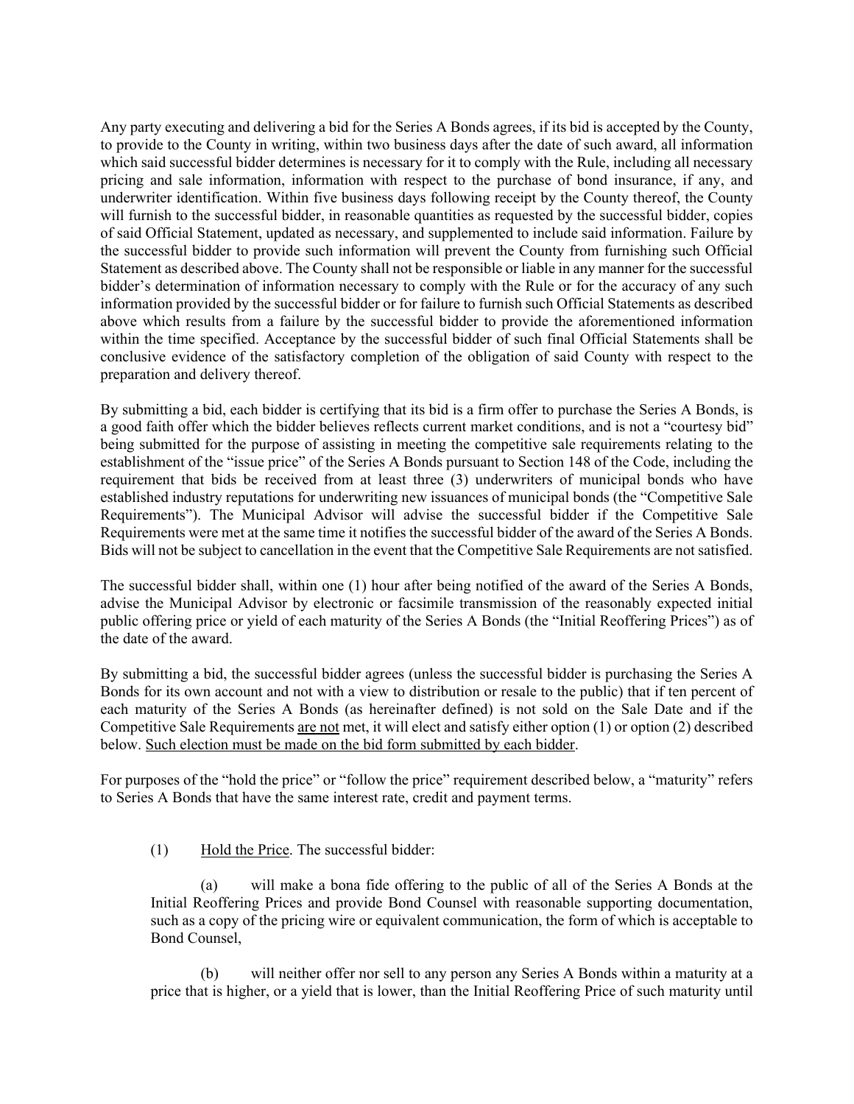Any party executing and delivering a bid for the Series A Bonds agrees, if its bid is accepted by the County, to provide to the County in writing, within two business days after the date of such award, all information which said successful bidder determines is necessary for it to comply with the Rule, including all necessary pricing and sale information, information with respect to the purchase of bond insurance, if any, and underwriter identification. Within five business days following receipt by the County thereof, the County will furnish to the successful bidder, in reasonable quantities as requested by the successful bidder, copies of said Official Statement, updated as necessary, and supplemented to include said information. Failure by the successful bidder to provide such information will prevent the County from furnishing such Official Statement as described above. The County shall not be responsible or liable in any manner for the successful bidder's determination of information necessary to comply with the Rule or for the accuracy of any such information provided by the successful bidder or for failure to furnish such Official Statements as described above which results from a failure by the successful bidder to provide the aforementioned information within the time specified. Acceptance by the successful bidder of such final Official Statements shall be conclusive evidence of the satisfactory completion of the obligation of said County with respect to the preparation and delivery thereof.

By submitting a bid, each bidder is certifying that its bid is a firm offer to purchase the Series A Bonds, is a good faith offer which the bidder believes reflects current market conditions, and is not a "courtesy bid" being submitted for the purpose of assisting in meeting the competitive sale requirements relating to the establishment of the "issue price" of the Series A Bonds pursuant to Section 148 of the Code, including the requirement that bids be received from at least three (3) underwriters of municipal bonds who have established industry reputations for underwriting new issuances of municipal bonds (the "Competitive Sale Requirements"). The Municipal Advisor will advise the successful bidder if the Competitive Sale Requirements were met at the same time it notifies the successful bidder of the award of the Series A Bonds. Bids will not be subject to cancellation in the event that the Competitive Sale Requirements are not satisfied.

The successful bidder shall, within one (1) hour after being notified of the award of the Series A Bonds, advise the Municipal Advisor by electronic or facsimile transmission of the reasonably expected initial public offering price or yield of each maturity of the Series A Bonds (the "Initial Reoffering Prices") as of the date of the award.

By submitting a bid, the successful bidder agrees (unless the successful bidder is purchasing the Series A Bonds for its own account and not with a view to distribution or resale to the public) that if ten percent of each maturity of the Series A Bonds (as hereinafter defined) is not sold on the Sale Date and if the Competitive Sale Requirements are not met, it will elect and satisfy either option (1) or option (2) described below. Such election must be made on the bid form submitted by each bidder.

For purposes of the "hold the price" or "follow the price" requirement described below, a "maturity" refers to Series A Bonds that have the same interest rate, credit and payment terms.

(1) Hold the Price. The successful bidder:

 (a) will make a bona fide offering to the public of all of the Series A Bonds at the Initial Reoffering Prices and provide Bond Counsel with reasonable supporting documentation, such as a copy of the pricing wire or equivalent communication, the form of which is acceptable to Bond Counsel,

 (b) will neither offer nor sell to any person any Series A Bonds within a maturity at a price that is higher, or a yield that is lower, than the Initial Reoffering Price of such maturity until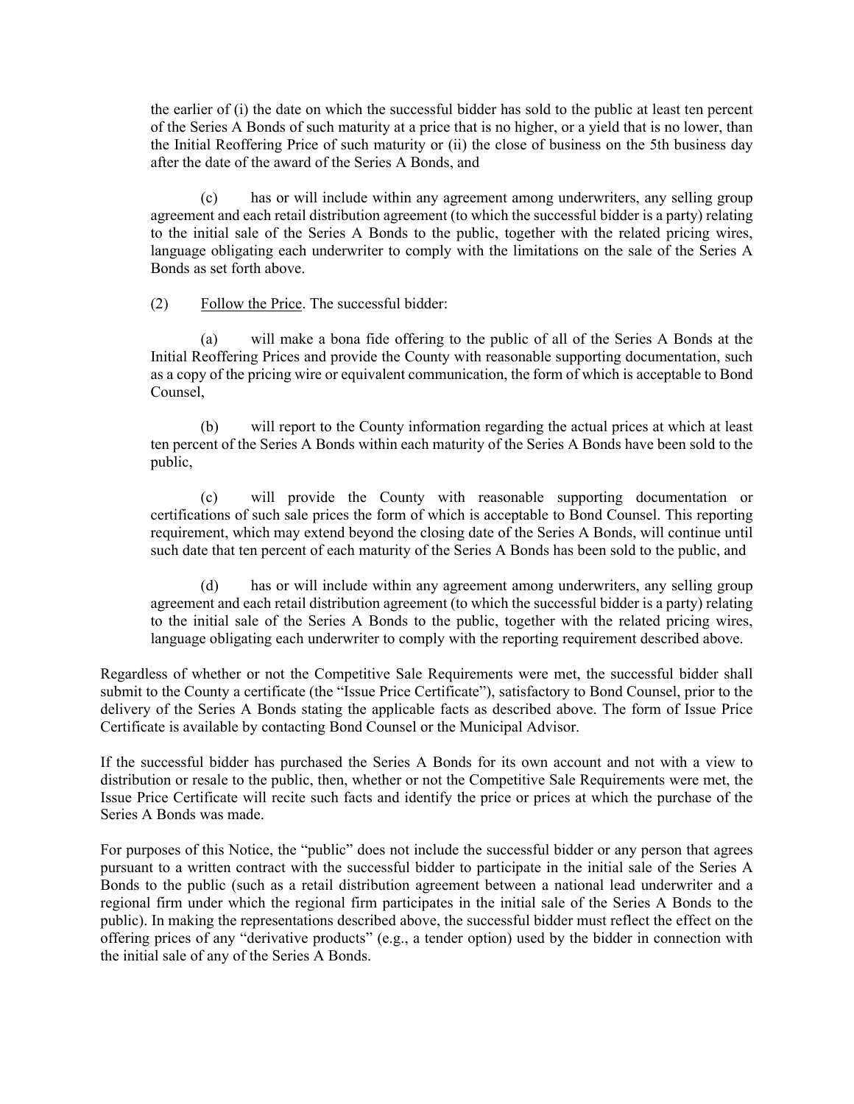the earlier of (i) the date on which the successful bidder has sold to the public at least ten percent of the Series A Bonds of such maturity at a price that is no higher, or a yield that is no lower, than the Initial Reoffering Price of such maturity or (ii) the close of business on the 5th business day after the date of the award of the Series A Bonds, and

 (c) has or will include within any agreement among underwriters, any selling group agreement and each retail distribution agreement (to which the successful bidder is a party) relating to the initial sale of the Series A Bonds to the public, together with the related pricing wires, language obligating each underwriter to comply with the limitations on the sale of the Series A Bonds as set forth above.

(2) Follow the Price. The successful bidder:

 (a) will make a bona fide offering to the public of all of the Series A Bonds at the Initial Reoffering Prices and provide the County with reasonable supporting documentation, such as a copy of the pricing wire or equivalent communication, the form of which is acceptable to Bond Counsel,

 (b) will report to the County information regarding the actual prices at which at least ten percent of the Series A Bonds within each maturity of the Series A Bonds have been sold to the public,

 (c) will provide the County with reasonable supporting documentation or certifications of such sale prices the form of which is acceptable to Bond Counsel. This reporting requirement, which may extend beyond the closing date of the Series A Bonds, will continue until such date that ten percent of each maturity of the Series A Bonds has been sold to the public, and

 (d) has or will include within any agreement among underwriters, any selling group agreement and each retail distribution agreement (to which the successful bidder is a party) relating to the initial sale of the Series A Bonds to the public, together with the related pricing wires, language obligating each underwriter to comply with the reporting requirement described above.

Regardless of whether or not the Competitive Sale Requirements were met, the successful bidder shall submit to the County a certificate (the "Issue Price Certificate"), satisfactory to Bond Counsel, prior to the delivery of the Series A Bonds stating the applicable facts as described above. The form of Issue Price Certificate is available by contacting Bond Counsel or the Municipal Advisor.

If the successful bidder has purchased the Series A Bonds for its own account and not with a view to distribution or resale to the public, then, whether or not the Competitive Sale Requirements were met, the Issue Price Certificate will recite such facts and identify the price or prices at which the purchase of the Series A Bonds was made.

For purposes of this Notice, the "public" does not include the successful bidder or any person that agrees pursuant to a written contract with the successful bidder to participate in the initial sale of the Series A Bonds to the public (such as a retail distribution agreement between a national lead underwriter and a regional firm under which the regional firm participates in the initial sale of the Series A Bonds to the public). In making the representations described above, the successful bidder must reflect the effect on the offering prices of any "derivative products" (e.g., a tender option) used by the bidder in connection with the initial sale of any of the Series A Bonds.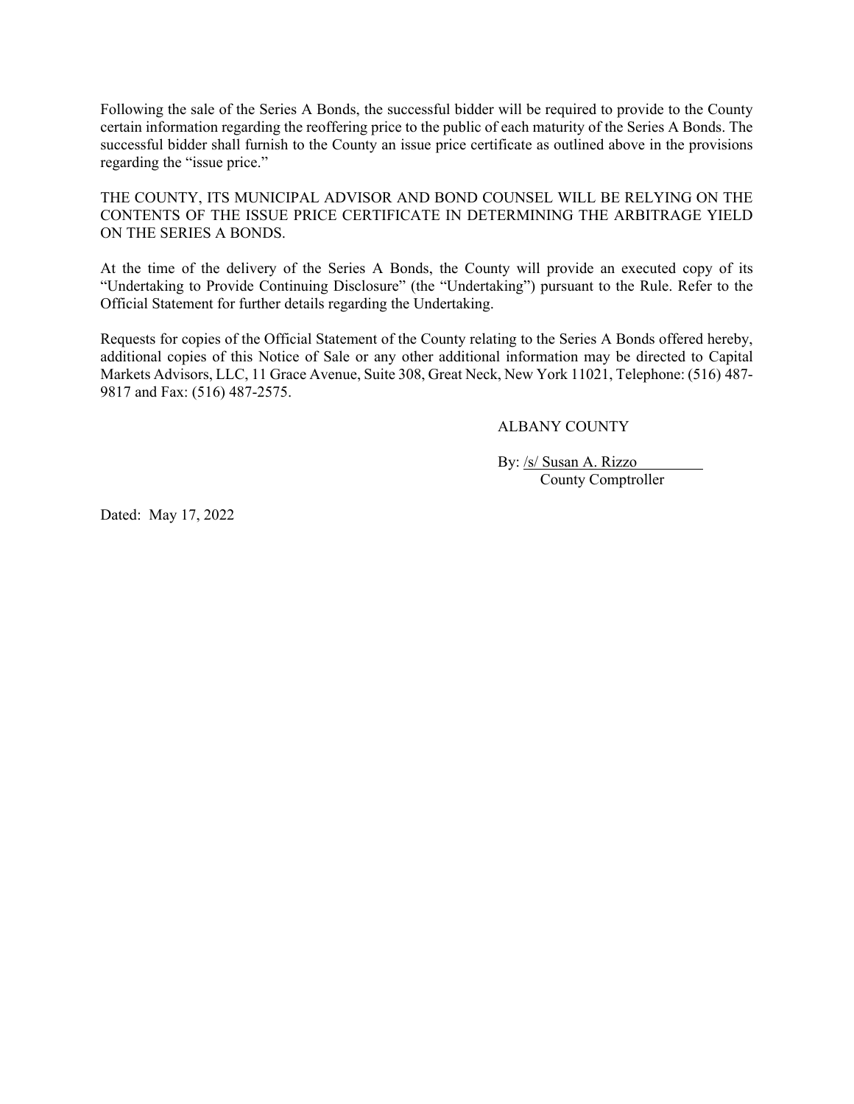Following the sale of the Series A Bonds, the successful bidder will be required to provide to the County certain information regarding the reoffering price to the public of each maturity of the Series A Bonds. The successful bidder shall furnish to the County an issue price certificate as outlined above in the provisions regarding the "issue price."

THE COUNTY, ITS MUNICIPAL ADVISOR AND BOND COUNSEL WILL BE RELYING ON THE CONTENTS OF THE ISSUE PRICE CERTIFICATE IN DETERMINING THE ARBITRAGE YIELD ON THE SERIES A BONDS.

At the time of the delivery of the Series A Bonds, the County will provide an executed copy of its "Undertaking to Provide Continuing Disclosure" (the "Undertaking") pursuant to the Rule. Refer to the Official Statement for further details regarding the Undertaking.

Requests for copies of the Official Statement of the County relating to the Series A Bonds offered hereby, additional copies of this Notice of Sale or any other additional information may be directed to Capital Markets Advisors, LLC, 11 Grace Avenue, Suite 308, Great Neck, New York 11021, Telephone: (516) 487- 9817 and Fax: (516) 487-2575.

ALBANY COUNTY

By: /s/ Susan A. Rizzo County Comptroller

Dated: May 17, 2022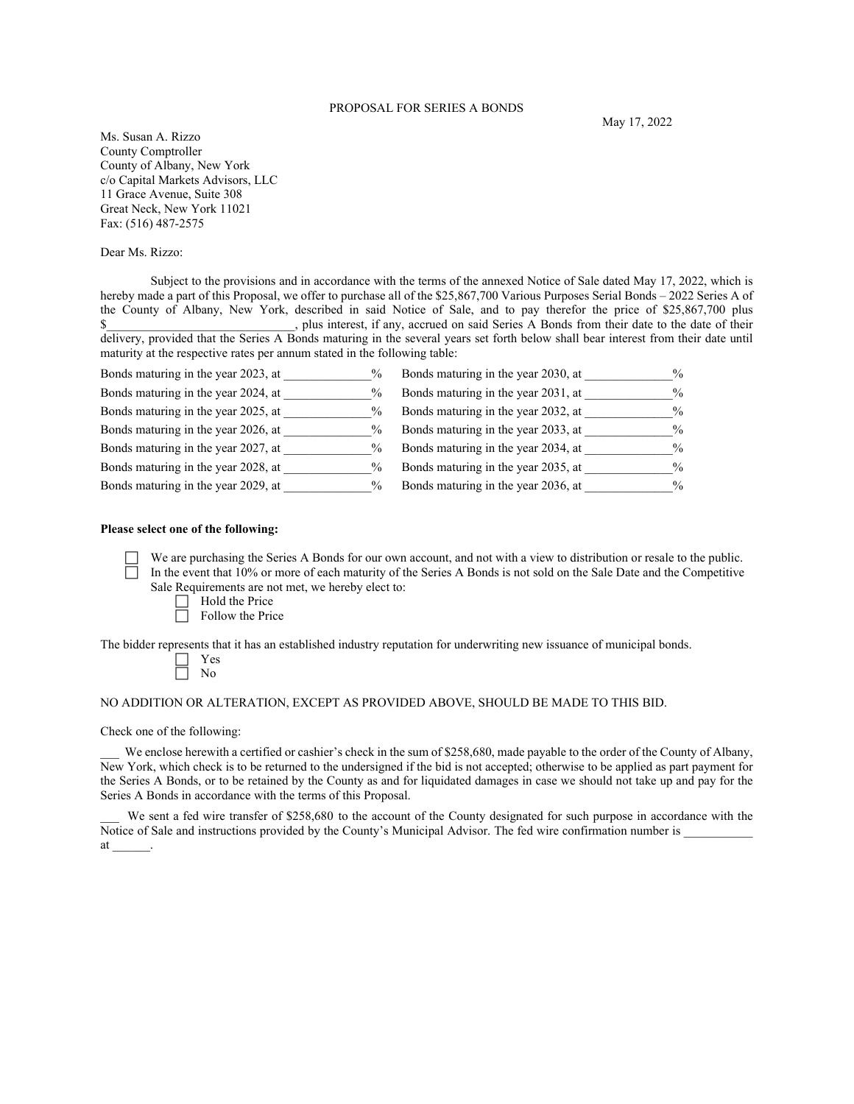#### PROPOSAL FOR SERIES A BONDS

Ms. Susan A. Rizzo County Comptroller County of Albany, New York c/o Capital Markets Advisors, LLC 11 Grace Avenue, Suite 308 Great Neck, New York 11021 Fax: (516) 487-2575

Dear Ms. Rizzo:

Subject to the provisions and in accordance with the terms of the annexed Notice of Sale dated May 17, 2022, which is hereby made a part of this Proposal, we offer to purchase all of the \$25,867,700 Various Purposes Serial Bonds – 2022 Series A of the County of Albany, New York, described in said Notice of Sale, and to pay therefor the price of \$25,867,700 plus \$ plus interest, if any, accrued on said Series A Bonds from their date to the date of their delivery, provided that the Series A Bonds maturing in the several years set forth below shall bear interest from their date until maturity at the respective rates per annum stated in the following table:

| Bonds maturing in the year 2023, at | $\frac{0}{0}$ | Bonds maturing in the year 2030, at | $\frac{0}{0}$ |
|-------------------------------------|---------------|-------------------------------------|---------------|
| Bonds maturing in the year 2024, at | $\frac{0}{0}$ | Bonds maturing in the year 2031, at | $\frac{0}{0}$ |
| Bonds maturing in the year 2025, at | $\frac{0}{0}$ | Bonds maturing in the year 2032, at | $\%$          |
| Bonds maturing in the year 2026, at | $\frac{0}{0}$ | Bonds maturing in the year 2033, at | $\frac{0}{0}$ |
| Bonds maturing in the year 2027, at | $\frac{0}{0}$ | Bonds maturing in the year 2034, at | $\%$          |
| Bonds maturing in the year 2028, at | $\frac{0}{0}$ | Bonds maturing in the year 2035, at | $\frac{0}{0}$ |
| Bonds maturing in the year 2029, at | $\frac{0}{0}$ | Bonds maturing in the year 2036, at | $\%$          |

#### **Please select one of the following:**

 We are purchasing the Series A Bonds for our own account, and not with a view to distribution or resale to the public. In the event that 10% or more of each maturity of the Series A Bonds is not sold on the Sale Date and the Competitive Sale Requirements are not met, we hereby elect to:

- $\Box$  Hold the Price
- $\Box$  Follow the Price

The bidder represents that it has an established industry reputation for underwriting new issuance of municipal bonds.

### NO ADDITION OR ALTERATION, EXCEPT AS PROVIDED ABOVE, SHOULD BE MADE TO THIS BID.

Check one of the following:

We enclose herewith a certified or cashier's check in the sum of \$258,680, made payable to the order of the County of Albany, New York, which check is to be returned to the undersigned if the bid is not accepted; otherwise to be applied as part payment for the Series A Bonds, or to be retained by the County as and for liquidated damages in case we should not take up and pay for the Series A Bonds in accordance with the terms of this Proposal.

We sent a fed wire transfer of \$258,680 to the account of the County designated for such purpose in accordance with the Notice of Sale and instructions provided by the County's Municipal Advisor. The fed wire confirmation number is at \_\_\_\_\_\_.

May 17, 2022